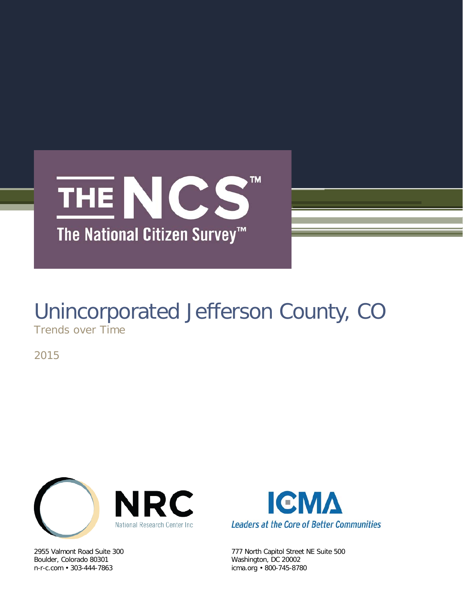

# Unincorporated Jefferson County, CO

Trends over Time

2015



Boulder, Colorado 80301 Washington, DC 20002



2955 Valmont Road Suite 300 777 North Capitol Street NE Suite 500 icma.org • 800-745-8780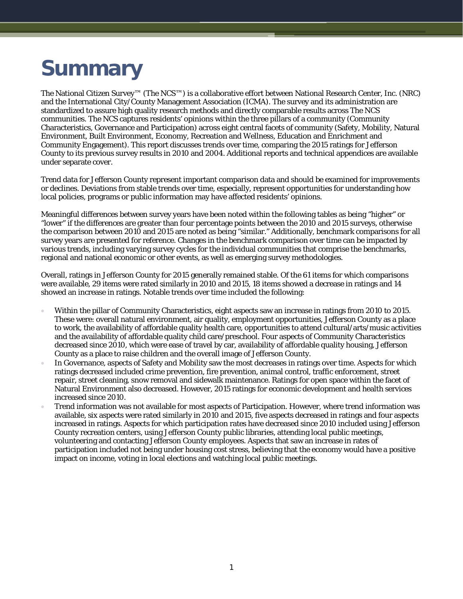## **Summary**

The National Citizen Survey™ (The NCS™) is a collaborative effort between National Research Center, Inc. (NRC) and the International City/County Management Association (ICMA). The survey and its administration are standardized to assure high quality research methods and directly comparable results across The NCS communities. The NCS captures residents' opinions within the three pillars of a community (Community Characteristics, Governance and Participation) across eight central facets of community (Safety, Mobility, Natural Environment, Built Environment, Economy, Recreation and Wellness, Education and Enrichment and Community Engagement). This report discusses trends over time, comparing the 2015 ratings for Jefferson County to its previous survey results in 2010 and 2004. Additional reports and technical appendices are available under separate cover.

Trend data for Jefferson County represent important comparison data and should be examined for improvements or declines. Deviations from stable trends over time, especially, represent opportunities for understanding how local policies, programs or public information may have affected residents' opinions.

Meaningful differences between survey years have been noted within the following tables as being "higher" or "lower" if the differences are greater than four percentage points between the 2010 and 2015 surveys, otherwise the comparison between 2010 and 2015 are noted as being "similar." Additionally, benchmark comparisons for all survey years are presented for reference. Changes in the benchmark comparison over time can be impacted by various trends, including varying survey cycles for the individual communities that comprise the benchmarks, regional and national economic or other events, as well as emerging survey methodologies.

Overall, ratings in Jefferson County for 2015 generally remained stable. Of the 61 items for which comparisons were available, 29 items were rated similarly in 2010 and 2015, 18 items showed a decrease in ratings and 14 showed an increase in ratings. Notable trends over time included the following:

- Within the pillar of Community Characteristics, eight aspects saw an increase in ratings from 2010 to 2015. These were: overall natural environment, air quality, employment opportunities, Jefferson County as a place to work, the availability of affordable quality health care, opportunities to attend cultural/arts/music activities and the availability of affordable quality child care/preschool. Four aspects of Community Characteristics decreased since 2010, which were ease of travel by car, availability of affordable quality housing, Jefferson County as a place to raise children and the overall image of Jefferson County.
- In Governance, aspects of Safety and Mobility saw the most decreases in ratings over time. Aspects for which ratings decreased included crime prevention, fire prevention, animal control, traffic enforcement, street repair, street cleaning, snow removal and sidewalk maintenance. Ratings for open space within the facet of Natural Environment also decreased. However, 2015 ratings for economic development and health services increased since 2010.
- Trend information was not available for most aspects of Participation. However, where trend information was available, six aspects were rated similarly in 2010 and 2015, five aspects decreased in ratings and four aspects increased in ratings. Aspects for which participation rates have decreased since 2010 included using Jefferson County recreation centers, using Jefferson County public libraries, attending local public meetings, volunteering and contacting Jefferson County employees. Aspects that saw an increase in rates of participation included not being under housing cost stress, believing that the economy would have a positive impact on income, voting in local elections and watching local public meetings.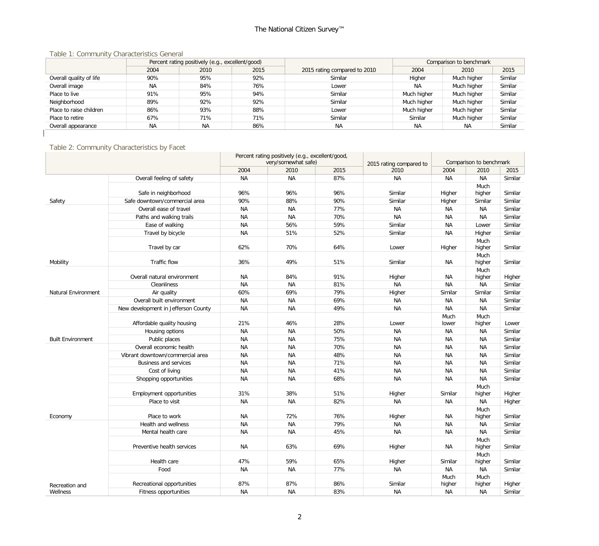#### Table 1: Community Characteristics General

|                         |           | Percent rating positively (e.g., excellent/good) |      |                              |             | Comparison to benchmark |         |  |  |
|-------------------------|-----------|--------------------------------------------------|------|------------------------------|-------------|-------------------------|---------|--|--|
|                         | 2004      | 2010                                             | 2015 | 2015 rating compared to 2010 | 2004        | 2010                    | 2015    |  |  |
| Overall quality of life | 90%       | 95%                                              | 92%  | Similar                      | Higher      | Much higher             | Similar |  |  |
| Overall image           | NA.       | 84%                                              | 76%  | Lower                        | <b>NA</b>   | Much higher             | Similar |  |  |
| Place to live           | 91%       | 95%                                              | 94%  | Similar                      | Much higher | Much higher             | Similar |  |  |
| Neighborhood            | 89%       | 92%                                              | 92%  | Similar                      | Much higher | Much higher             | Similar |  |  |
| Place to raise children | 86%       | 93%                                              | 88%  | Lower                        | Much higher | Much higher             | Similar |  |  |
| Place to retire         | 67%       | 71%                                              | 71%  | Similar                      | Similar     | Much higher             | Similar |  |  |
| Overall appearance      | <b>NA</b> | <b>NA</b>                                        | 86%  | <b>NA</b>                    | ΝA          | <b>NA</b>               | Similar |  |  |
|                         |           |                                                  |      |                              |             |                         |         |  |  |

#### Table 2: Community Characteristics by Facet

|                          |                                     | Percent rating positively (e.g., excellent/good,<br>very/somewhat safe) |           |      | Comparison to benchmark         |                |                |         |
|--------------------------|-------------------------------------|-------------------------------------------------------------------------|-----------|------|---------------------------------|----------------|----------------|---------|
|                          |                                     | 2004                                                                    | 2010      | 2015 | 2015 rating compared to<br>2010 | 2004           | 2010           | 2015    |
|                          | Overall feeling of safety           | <b>NA</b>                                                               | <b>NA</b> | 87%  | <b>NA</b>                       | NA             | <b>NA</b>      | Similar |
|                          |                                     |                                                                         |           |      |                                 |                |                |         |
|                          | Safe in neighborhood                | 96%                                                                     | 96%       | 96%  | Similar                         | Higher         | Much<br>higher | Similar |
| Safety                   | Safe downtown/commercial area       | 90%                                                                     | 88%       | 90%  | Similar                         | Higher         | Similar        | Similar |
|                          | Overall ease of travel              | <b>NA</b>                                                               | ΝA        | 77%  | <b>NA</b>                       | <b>NA</b>      | NA             | Similar |
|                          | Paths and walking trails            | <b>NA</b>                                                               | <b>NA</b> | 70%  | <b>NA</b>                       | <b>NA</b>      | <b>NA</b>      | Similar |
|                          | Ease of walking                     | <b>NA</b>                                                               | 56%       | 59%  | Similar                         | <b>NA</b>      | Lower          | Similar |
|                          | Travel by bicycle                   | <b>NA</b>                                                               | 51%       | 52%  | Similar                         | <b>NA</b>      | Higher         | Similar |
|                          | Travel by car                       | 62%                                                                     | 70%       | 64%  | Lower                           | Higher         | Much<br>higher | Similar |
| Mobility                 | Traffic flow                        | 36%                                                                     | 49%       | 51%  | Similar                         | <b>NA</b>      | Much<br>higher | Similar |
|                          | Overall natural environment         | <b>NA</b>                                                               | 84%       | 91%  | Higher                          | NA             | Much<br>higher | Higher  |
|                          | <b>Cleanliness</b>                  | <b>NA</b>                                                               | <b>NA</b> | 81%  | <b>NA</b>                       | <b>NA</b>      | <b>NA</b>      | Similar |
| Natural Environment      | Air quality                         | 60%                                                                     | 69%       | 79%  | Higher                          | Similar        | Similar        | Similar |
|                          | Overall built environment           | <b>NA</b>                                                               | <b>NA</b> | 69%  | <b>NA</b>                       | ΝA             | <b>NA</b>      | Similar |
|                          | New development in Jefferson County | <b>NA</b>                                                               | <b>NA</b> | 49%  | <b>NA</b>                       | <b>NA</b>      | <b>NA</b>      | Similar |
|                          | Affordable quality housing          | 21%                                                                     | 46%       | 28%  | Lower                           | Much<br>lower  | Much<br>higher | Lower   |
|                          | Housing options                     | <b>NA</b>                                                               | <b>NA</b> | 50%  | <b>NA</b>                       | <b>NA</b>      | NA             | Similar |
| <b>Built Environment</b> | Public places                       | <b>NA</b>                                                               | <b>NA</b> | 75%  | <b>NA</b>                       | <b>NA</b>      | <b>NA</b>      | Similar |
|                          | Overall economic health             | <b>NA</b>                                                               | <b>NA</b> | 70%  | <b>NA</b>                       | <b>NA</b>      | <b>NA</b>      | Similar |
|                          | Vibrant downtown/commercial area    | <b>NA</b>                                                               | <b>NA</b> | 48%  | <b>NA</b>                       | <b>NA</b>      | <b>NA</b>      | Similar |
|                          | <b>Business and services</b>        | <b>NA</b>                                                               | <b>NA</b> | 71%  | <b>NA</b>                       | <b>NA</b>      | NA             | Similar |
|                          | Cost of living                      | <b>NA</b>                                                               | <b>NA</b> | 41%  | <b>NA</b>                       | <b>NA</b>      | <b>NA</b>      | Similar |
|                          | Shopping opportunities              | <b>NA</b>                                                               | <b>NA</b> | 68%  | <b>NA</b>                       | <b>NA</b>      | <b>NA</b>      | Similar |
|                          | Employment opportunities            | 31%                                                                     | 38%       | 51%  | Higher                          | Similar        | Much<br>higher | Higher  |
|                          | Place to visit                      | <b>NA</b>                                                               | <b>NA</b> | 82%  | <b>NA</b>                       | <b>NA</b>      | <b>NA</b>      | Higher  |
| Economy                  | Place to work                       | <b>NA</b>                                                               | 72%       | 76%  | Higher                          | <b>NA</b>      | Much<br>higher | Similar |
|                          | Health and wellness                 | <b>NA</b>                                                               | <b>NA</b> | 79%  | <b>NA</b>                       | <b>NA</b>      | NA             | Similar |
|                          | Mental health care                  | <b>NA</b>                                                               | <b>NA</b> | 45%  | <b>NA</b>                       | <b>NA</b>      | <b>NA</b>      | Similar |
|                          | Preventive health services          | <b>NA</b>                                                               | 63%       | 69%  | Higher                          | <b>NA</b>      | Much<br>higher | Similar |
|                          | Health care                         | 47%                                                                     | 59%       | 65%  | Higher                          | Similar        | Much<br>higher | Similar |
|                          | Food                                | <b>NA</b>                                                               | <b>NA</b> | 77%  | <b>NA</b>                       | <b>NA</b>      | <b>NA</b>      | Similar |
| Recreation and           | Recreational opportunities          | 87%                                                                     | 87%       | 86%  | Similar                         | Much<br>higher | Much<br>higher | Higher  |
| Wellness                 | Fitness opportunities               | <b>NA</b>                                                               | <b>NA</b> | 83%  | NA                              | <b>NA</b>      | NA             | Similar |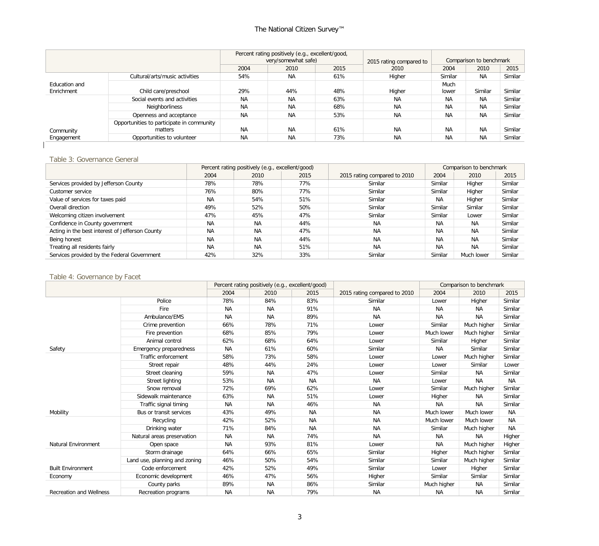### The National Citizen Survey™

|                             |                                                      | Percent rating positively (e.g., excellent/good,<br>very/somewhat safe) |           |      | 2015 rating compared to | Comparison to benchmark |           |         |
|-----------------------------|------------------------------------------------------|-------------------------------------------------------------------------|-----------|------|-------------------------|-------------------------|-----------|---------|
|                             |                                                      | 2015<br>2004<br>2010                                                    |           | 2010 | 2004                    | 2010                    | 2015      |         |
|                             | Cultural/arts/music activities                       | 54%                                                                     | <b>NA</b> | 61%  | Higher                  | Similar                 | <b>NA</b> | Similar |
| Education and<br>Enrichment | Child care/preschool                                 | 29%                                                                     | 44%       | 48%  | Higher                  | Much<br>lower           | Similar   | Similar |
|                             | Social events and activities                         | <b>NA</b>                                                               | <b>NA</b> | 63%  | <b>NA</b>               | <b>NA</b>               | <b>NA</b> | Similar |
|                             | Neighborliness                                       | <b>NA</b>                                                               | <b>NA</b> | 68%  | <b>NA</b>               | <b>NA</b>               | <b>NA</b> | Similar |
|                             | Openness and acceptance                              | <b>NA</b>                                                               | <b>NA</b> | 53%  | <b>NA</b>               | <b>NA</b>               | <b>NA</b> | Similar |
| Community                   | Opportunities to participate in community<br>matters | <b>NA</b>                                                               | <b>NA</b> | 61%  | <b>NA</b>               | <b>NA</b>               | <b>NA</b> | Similar |
| Engagement                  | Opportunities to volunteer                           | <b>NA</b>                                                               | <b>NA</b> | 73%  | <b>NA</b>               | <b>NA</b>               | <b>NA</b> | Similar |

#### Table 3: Governance General

|                                                 | Percent rating positively (e.g., excellent/good) |           |      |                              | Comparison to benchmark |            |         |
|-------------------------------------------------|--------------------------------------------------|-----------|------|------------------------------|-------------------------|------------|---------|
|                                                 | 2004                                             | 2010      | 2015 | 2015 rating compared to 2010 | 2004                    | 2010       | 2015    |
| Services provided by Jefferson County           | 78%                                              | 78%       | 77%  | Similar                      | Similar                 | Higher     | Similar |
| Customer service                                | 76%                                              | 80%       | 77%  | Similar                      | Similar                 | Higher     | Similar |
| Value of services for taxes paid                | <b>NA</b>                                        | 54%       | 51%  | Similar                      | <b>NA</b>               | Higher     | Similar |
| Overall direction                               | 49%                                              | 52%       | 50%  | Similar                      | Similar                 | Similar    | Similar |
| Welcoming citizen involvement                   | 47%                                              | 45%       | 47%  | Similar                      | Similar                 | Lower      | Similar |
| Confidence in County government                 | <b>NA</b>                                        | <b>NA</b> | 44%  | <b>NA</b>                    | <b>NA</b>               | <b>NA</b>  | Similar |
| Acting in the best interest of Jefferson County | <b>NA</b>                                        | <b>NA</b> | 47%  | <b>NA</b>                    | <b>NA</b>               | <b>NA</b>  | Similar |
| Being honest                                    | <b>NA</b>                                        | <b>NA</b> | 44%  | <b>NA</b>                    | <b>NA</b>               | <b>NA</b>  | Similar |
| Treating all residents fairly                   | <b>NA</b>                                        | <b>NA</b> | 51%  | <b>NA</b>                    | <b>NA</b>               | <b>NA</b>  | Similar |
| Services provided by the Federal Government     | 42%                                              | 32%       | 33%  | Similar                      | Similar                 | Much lower | Similar |

#### Table 4: Governance by Facet

|                                |                               |           | Percent rating positively (e.g., excellent/good) |           |                              | Comparison to benchmark |             |           |
|--------------------------------|-------------------------------|-----------|--------------------------------------------------|-----------|------------------------------|-------------------------|-------------|-----------|
|                                |                               | 2004      | 2010                                             | 2015      | 2015 rating compared to 2010 | 2004                    | 2010        | 2015      |
|                                | Police                        | 78%       | 84%                                              | 83%       | Similar                      | Lower                   | Higher      | Similar   |
|                                | Fire                          | NA        | <b>NA</b>                                        | 91%       | <b>NA</b>                    | <b>NA</b>               | <b>NA</b>   | Similar   |
|                                | Ambulance/EMS                 | <b>NA</b> | <b>NA</b>                                        | 89%       | <b>NA</b>                    | <b>NA</b>               | <b>NA</b>   | Similar   |
|                                | Crime prevention              | 66%       | 78%                                              | 71%       | Lower                        | Similar                 | Much higher | Similar   |
|                                | Fire prevention               | 68%       | 85%                                              | 79%       | Lower                        | Much lower              | Much higher | Similar   |
|                                | Animal control                | 62%       | 68%                                              | 64%       | Lower                        | Similar                 | Higher      | Similar   |
| Safety                         | Emergency preparedness        | <b>NA</b> | 61%                                              | 60%       | Similar                      | <b>NA</b>               | Similar     | Similar   |
|                                | Traffic enforcement           | 58%       | 73%                                              | 58%       | Lower                        | Lower                   | Much higher | Similar   |
|                                | Street repair                 | 48%       | 44%                                              | 24%       | Lower                        | Lower                   | Similar     | Lower     |
|                                | Street cleaning               | 59%       | <b>NA</b>                                        | 47%       | Lower                        | Similar                 | <b>NA</b>   | Similar   |
|                                | <b>Street lighting</b>        | 53%       | <b>NA</b>                                        | <b>NA</b> | <b>NA</b>                    | Lower                   | <b>NA</b>   | <b>NA</b> |
|                                | Snow removal                  | 72%       | 69%                                              | 62%       | Lower                        | Similar                 | Much higher | Similar   |
|                                | Sidewalk maintenance          | 63%       | <b>NA</b>                                        | 51%       | Lower                        | Higher                  | <b>NA</b>   | Similar   |
|                                | Traffic signal timing         | <b>NA</b> | <b>NA</b>                                        | 46%       | <b>NA</b>                    | <b>NA</b>               | <b>NA</b>   | Similar   |
| Mobility                       | Bus or transit services       | 43%       | 49%                                              | <b>NA</b> | <b>NA</b>                    | Much lower              | Much lower  | <b>NA</b> |
|                                | Recycling                     | 42%       | 52%                                              | <b>NA</b> | <b>NA</b>                    | Much lower              | Much lower  | <b>NA</b> |
|                                | Drinking water                | 71%       | 84%                                              | <b>NA</b> | <b>NA</b>                    | Similar                 | Much higher | <b>NA</b> |
|                                | Natural areas preservation    | NA        | <b>NA</b>                                        | 74%       | <b>NA</b>                    | <b>NA</b>               | <b>NA</b>   | Higher    |
| <b>Natural Environment</b>     | Open space                    | NA        | 93%                                              | 81%       | Lower                        | <b>NA</b>               | Much higher | Higher    |
|                                | Storm drainage                | 64%       | 66%                                              | 65%       | Similar                      | Higher                  | Much higher | Similar   |
|                                | Land use, planning and zoning | 46%       | 50%                                              | 54%       | Similar                      | Similar                 | Much higher | Similar   |
| <b>Built Environment</b>       | Code enforcement              | 42%       | 52%                                              | 49%       | Similar                      | Lower                   | Higher      | Similar   |
| Economy                        | Economic development          | 46%       | 47%                                              | 56%       | Higher                       | Similar                 | Similar     | Similar   |
|                                | County parks                  | 89%       | <b>NA</b>                                        | 86%       | Similar                      | Much higher             | NА          | Similar   |
| <b>Recreation and Wellness</b> | Recreation programs           | NA        | <b>NA</b>                                        | 79%       | <b>NA</b>                    | NA                      | <b>NA</b>   | Similar   |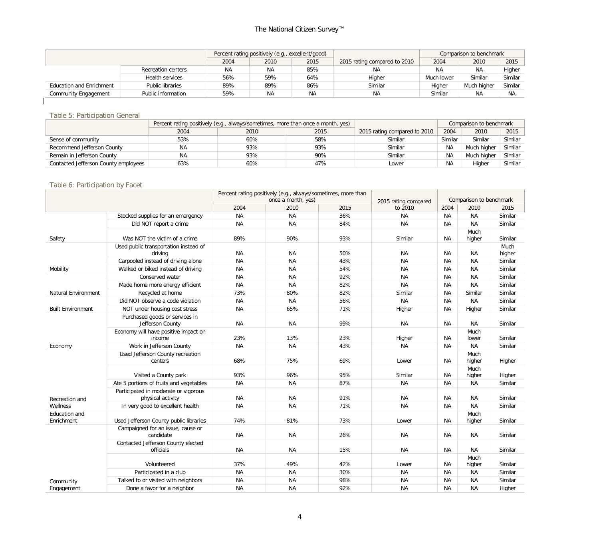|                                 |                           |           | Percent rating positively (e.g., excellent/good) |      |                              |            | Comparison to benchmark |         |
|---------------------------------|---------------------------|-----------|--------------------------------------------------|------|------------------------------|------------|-------------------------|---------|
|                                 |                           | 2004      | 2010                                             | 2015 | 2015 rating compared to 2010 | 2004       | 2010                    | 2015    |
|                                 | <b>Recreation centers</b> | <b>NA</b> | <b>NA</b>                                        | 85%  | ΝA                           | <b>NA</b>  | <b>NA</b>               | Higher  |
|                                 | Health services           | 56%       | 59%                                              | 64%  | Higher                       | Much lower | Similar                 | Similar |
| <b>Education and Enrichment</b> | Public libraries          | 89%       | 89%                                              | 86%  | Similar                      | Higher     | Much higher             | Similar |
| Community Engagement            | Public information        | 59%       | <b>NA</b>                                        | NA   | <b>NA</b>                    | Similar    | ΝA                      | NA      |
|                                 |                           |           |                                                  |      |                              |            |                         |         |

#### Table 5: Participation General

|                                      |           | Percent rating positively (e.g., always/sometimes, more than once a month, yes) |      |                              | Comparison to benchmark |             |         |
|--------------------------------------|-----------|---------------------------------------------------------------------------------|------|------------------------------|-------------------------|-------------|---------|
|                                      | 2004      | 2010                                                                            | 2015 | 2015 rating compared to 2010 | 2004                    | 2010        | 2015    |
| Sense of community                   | 53%       | 60%                                                                             | 58%  | Similar                      | Similar                 | Similar     | Similar |
| Recommend Jefferson County           | <b>NA</b> | 93%                                                                             | 93%  | Similar                      | <b>NA</b>               | Much hiaher | Similar |
| Remain in Jefferson County           | <b>NA</b> | 93%                                                                             | 90%  | Similar                      | <b>NA</b>               | Much higher | Similar |
| Contacted Jefferson County employees | 63%       | 60%                                                                             | 47%  | Lower                        | <b>NA</b>               | Higher      | Similar |

#### Table 6: Participation by Facet

|                             |                                                           | Percent rating positively (e.g., always/sometimes, more than<br>once a month, yes) |           |      | 2015 rating compared |           | Comparison to benchmark |                |  |  |
|-----------------------------|-----------------------------------------------------------|------------------------------------------------------------------------------------|-----------|------|----------------------|-----------|-------------------------|----------------|--|--|
|                             |                                                           | 2004                                                                               | 2010      | 2015 | to 2010              | 2004      | 2010                    | 2015           |  |  |
|                             | Stocked supplies for an emergency                         | <b>NA</b>                                                                          | <b>NA</b> | 36%  | <b>NA</b>            | <b>NA</b> | <b>NA</b>               | Similar        |  |  |
|                             | Did NOT report a crime                                    | <b>NA</b>                                                                          | <b>NA</b> | 84%  | <b>NA</b>            | <b>NA</b> | <b>NA</b>               | Similar        |  |  |
| Safety                      | Was NOT the victim of a crime                             | 89%                                                                                | 90%       | 93%  | Similar              | ΝA        | Much<br>higher          | Similar        |  |  |
|                             | Used public transportation instead of<br>driving          | <b>NA</b>                                                                          | <b>NA</b> | 50%  | <b>NA</b>            | <b>NA</b> | NА                      | Much<br>higher |  |  |
|                             | Carpooled instead of driving alone                        | <b>NA</b>                                                                          | <b>NA</b> | 43%  | <b>NA</b>            | <b>NA</b> | <b>NA</b>               | Similar        |  |  |
| Mobility                    | Walked or biked instead of driving                        | <b>NA</b>                                                                          | <b>NA</b> | 54%  | NA                   | <b>NA</b> | <b>NA</b>               | Similar        |  |  |
|                             | Conserved water                                           | <b>NA</b>                                                                          | <b>NA</b> | 92%  | <b>NA</b>            | <b>NA</b> | <b>NA</b>               | Similar        |  |  |
|                             | Made home more energy efficient                           | <b>NA</b>                                                                          | <b>NA</b> | 82%  | <b>NA</b>            | ΝA        | <b>NA</b>               | Similar        |  |  |
| <b>Natural Environment</b>  | Recycled at home                                          | 73%                                                                                | 80%       | 82%  | Similar              | <b>NA</b> | Similar                 | Similar        |  |  |
|                             | Did NOT observe a code violation                          | <b>NA</b>                                                                          | <b>NA</b> | 56%  | <b>NA</b>            | <b>NA</b> | <b>NA</b>               | Similar        |  |  |
| <b>Built Environment</b>    | NOT under housing cost stress                             | <b>NA</b>                                                                          | 65%       | 71%  | Higher               | <b>NA</b> | Higher                  | Similar        |  |  |
|                             | Purchased goods or services in<br>Jefferson County        | <b>NA</b>                                                                          | <b>NA</b> | 99%  | <b>NA</b>            | <b>NA</b> | <b>NA</b>               | Similar        |  |  |
|                             | Economy will have positive impact on<br>income            | 23%                                                                                | 13%       | 23%  | Higher               | <b>NA</b> | Much<br>lower           | Similar        |  |  |
| Economy                     | Work in Jefferson County                                  | <b>NA</b>                                                                          | <b>NA</b> | 43%  | <b>NA</b>            | <b>NA</b> | <b>NA</b>               | Similar        |  |  |
|                             | Used Jefferson County recreation<br>centers               | 68%                                                                                | 75%       | 69%  | Lower                | ΝA        | Much<br>higher          | Higher         |  |  |
|                             | Visited a County park                                     | 93%                                                                                | 96%       | 95%  | Similar              | ΝA        | Much<br>higher          | Higher         |  |  |
|                             | Ate 5 portions of fruits and vegetables                   | <b>NA</b>                                                                          | <b>NA</b> | 87%  | NA                   | <b>NA</b> | <b>NA</b>               | Similar        |  |  |
| Recreation and              | Participated in moderate or vigorous<br>physical activity | ΝA                                                                                 | <b>NA</b> | 91%  | <b>NA</b>            | <b>NA</b> | <b>NA</b>               | Similar        |  |  |
| Wellness                    | In very good to excellent health                          | <b>NA</b>                                                                          | <b>NA</b> | 71%  | <b>NA</b>            | <b>NA</b> | <b>NA</b>               | Similar        |  |  |
| Education and<br>Enrichment | Used Jefferson County public libraries                    | 74%                                                                                | 81%       | 73%  | Lower                | ΝA        | Much<br>higher          | Similar        |  |  |
|                             | Campaigned for an issue, cause or<br>candidate            | <b>NA</b>                                                                          | <b>NA</b> | 26%  | <b>NA</b>            | <b>NA</b> | <b>NA</b>               | Similar        |  |  |
|                             | Contacted Jefferson County elected<br>officials           | <b>NA</b>                                                                          | <b>NA</b> | 15%  | <b>NA</b>            | <b>NA</b> | <b>NA</b>               | Similar        |  |  |
|                             | Volunteered                                               | 37%                                                                                | 49%       | 42%  | Lower                | <b>NA</b> | Much<br>higher          | Similar        |  |  |
|                             | Participated in a club                                    | <b>NA</b>                                                                          | <b>NA</b> | 30%  | <b>NA</b>            | <b>NA</b> | <b>NA</b>               | Similar        |  |  |
| Community                   | Talked to or visited with neighbors                       | <b>NA</b>                                                                          | <b>NA</b> | 98%  | <b>NA</b>            | <b>NA</b> | <b>NA</b>               | Similar        |  |  |
| Engagement                  | Done a favor for a neighbor                               | <b>NA</b>                                                                          | <b>NA</b> | 92%  | <b>NA</b>            | <b>NA</b> | <b>NA</b>               | Higher         |  |  |